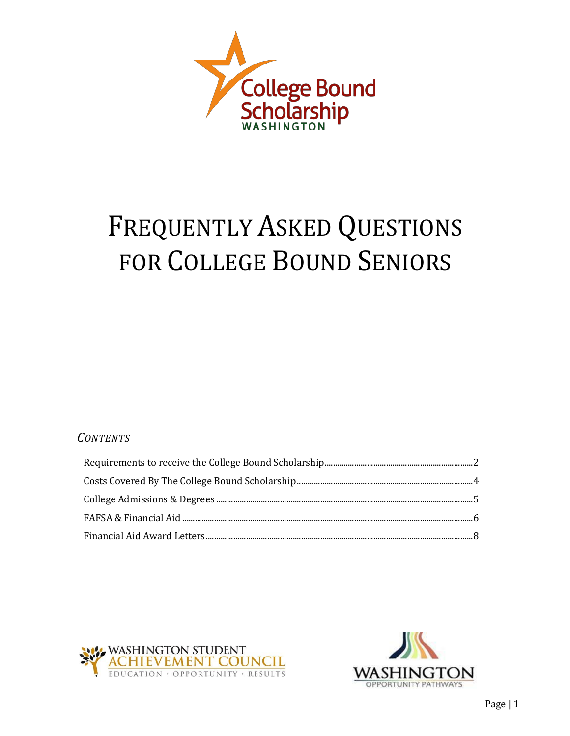

# **FREQUENTLY ASKED QUESTIONS** FOR COLLEGE BOUND SENIORS

#### **CONTENTS**



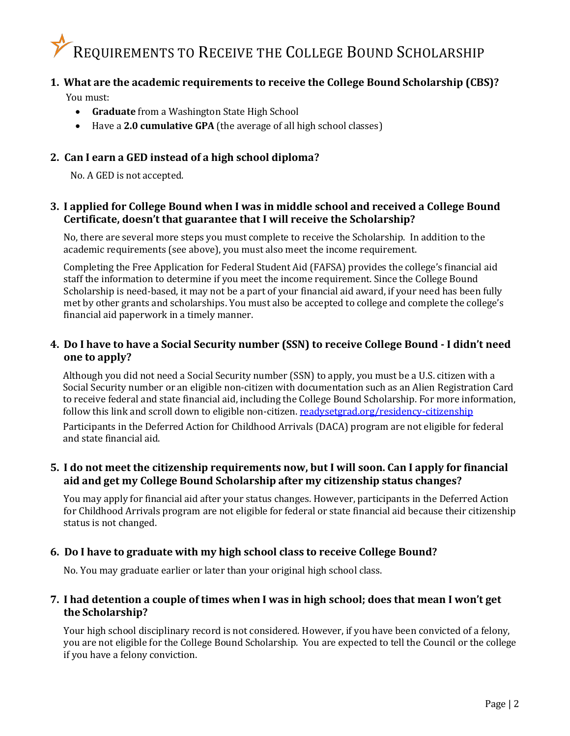### <span id="page-1-0"></span>REQUIREMENTS TO RECEIVE THE COLLEGE BOUND SCHOLARSHIP

#### **1. What are the academic requirements to receive the College Bound Scholarship (CBS)?**

You must:

- **Graduate** from a Washington State High School
- Have a **2.0 cumulative GPA** (the average of all high school classes)

#### **2. Can I earn a GED instead of a high school diploma?**

No. A GED is not accepted.

#### **3. I applied for College Bound when I was in middle school and received a College Bound Certificate, doesn't that guarantee that I will receive the Scholarship?**

No, there are several more steps you must complete to receive the Scholarship. In addition to the academic requirements (see above), you must also meet the income requirement.

Completing the Free Application for Federal Student Aid (FAFSA) provides the college's financial aid staff the information to determine if you meet the income requirement. Since the College Bound Scholarship is need-based, it may not be a part of your financial aid award, if your need has been fully met by other grants and scholarships. You must also be accepted to college and complete the college's financial aid paperwork in a timely manner.

#### 4. Do I have to have a Social Security number (SSN) to receive College Bound - I didn't need **one to apply?**

Although you did not need a Social Security number (SSN) to apply, you must be a U.S. citizen with a Social Security number or an eligible non-citizen with documentation such as an Alien Registration Card to receive federal and state financial aid, including the College Bound Scholarship. For more information, follow this link and scroll down to eligible non-citizen. [readysetgrad.org/residency-citizenship](http://www.readysetgrad.org/residency-citizenship)

Participants in the Deferred Action for Childhood Arrivals (DACA) program are not eligible for federal and state financial aid.

#### **5. I do not meet the citizenship requirements now, but I will soon. Can I apply for financial aid and get my College Bound Scholarship after my citizenship status changes?**

You may apply for financial aid after your status changes. However, participants in the Deferred Action for Childhood Arrivals program are not eligible for federal or state financial aid because their citizenship status is not changed.

#### **6. Do I have to graduate with my high school class to receive College Bound?**

No. You may graduate earlier or later than your original high school class.

#### 7. I had detention a couple of times when I was in high school; does that mean I won't get **the Scholarship?**

Your high school disciplinary record is not considered. However, if you have been convicted of a felony, you are not eligible for the College Bound Scholarship. You are expected to tell the Council or the college if you have a felony conviction.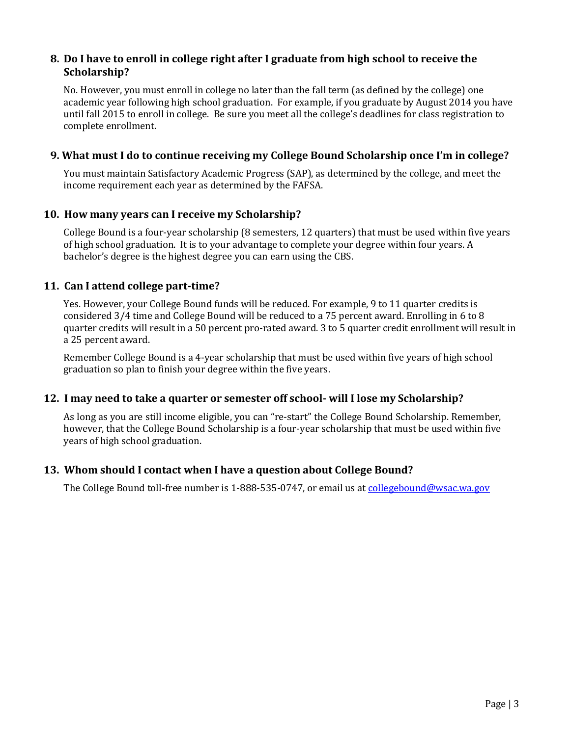#### **8. Do I have to enroll in college right after I graduate from high school to receive the Scholarship?**

No. However, you must enroll in college no later than the fall term (as defined by the college) one academic year following high school graduation. For example, if you graduate by August 2014 you have until fall 2015 to enroll in college. Be sure you meet all the college's deadlines for class registration to complete enrollment.

#### **9. What must I do to continue receiving my College Bound Scholarship once I'm in college?**

You must maintain Satisfactory Academic Progress (SAP), as determined by the college, and meet the income requirement each year as determined by the FAFSA.

#### **10. How many years can I receive my Scholarship?**

College Bound is a four-year scholarship (8 semesters, 12 quarters) that must be used within five years of high school graduation. It is to your advantage to complete your degree within four years. A bachelor's degree is the highest degree you can earn using the CBS.

#### **11. Can I attend college part-time?**

Yes. However, your College Bound funds will be reduced. For example, 9 to 11 quarter credits is considered 3/4 time and College Bound will be reduced to a 75 percent award. Enrolling in 6 to 8 quarter credits will result in a 50 percent pro-rated award. 3 to 5 quarter credit enrollment will result in a 25 percent award.

Remember College Bound is a 4-year scholarship that must be used within five years of high school graduation so plan to finish your degree within the five years.

#### **12. I may need to take a quarter or semester off school- will I lose my Scholarship?**

As long as you are still income eligible, you can "re-start" the College Bound Scholarship. Remember, however, that the College Bound Scholarship is a four-year scholarship that must be used within five years of high school graduation.

#### **13. Whom should I contact when I have a question about College Bound?**

The College Bound toll-free number is 1-888-535-0747, or email us at [collegebound@wsac.wa.gov](mailto:collegebound@wsac.wa.gov)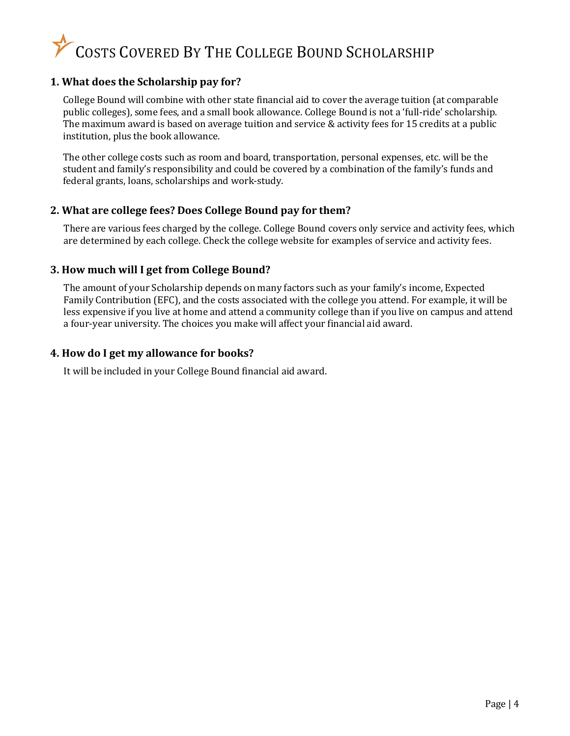## COSTS COVERED BY THE COLLEGE BOUND SCHOLARSHIP

#### <span id="page-3-0"></span>**1. What does the Scholarship pay for?**

College Bound will combine with other state financial aid to cover the average tuition (at comparable public colleges), some fees, and a small book allowance. College Bound is not a 'full-ride' scholarship. The maximum award is based on average tuition and service & activity fees for 15 credits at a public institution, plus the book allowance.

The other college costs such as room and board, transportation, personal expenses, etc. will be the student and family's responsibility and could be covered by a combination of the family's funds and federal grants, loans, scholarships and work-study.

#### **2. What are college fees? Does College Bound pay for them?**

There are various fees charged by the college. College Bound covers only service and activity fees, which are determined by each college. Check the college website for examples of service and activity fees.

#### **3. How much will I get from College Bound?**

The amount of your Scholarship depends on many factors such as your family's income, Expected Family Contribution (EFC), and the costs associated with the college you attend. For example, it will be less expensive if you live at home and attend a community college than if you live on campus and attend a four-year university. The choices you make will affect your financial aid award.

#### **4. How do I get my allowance for books?**

It will be included in your College Bound financial aid award.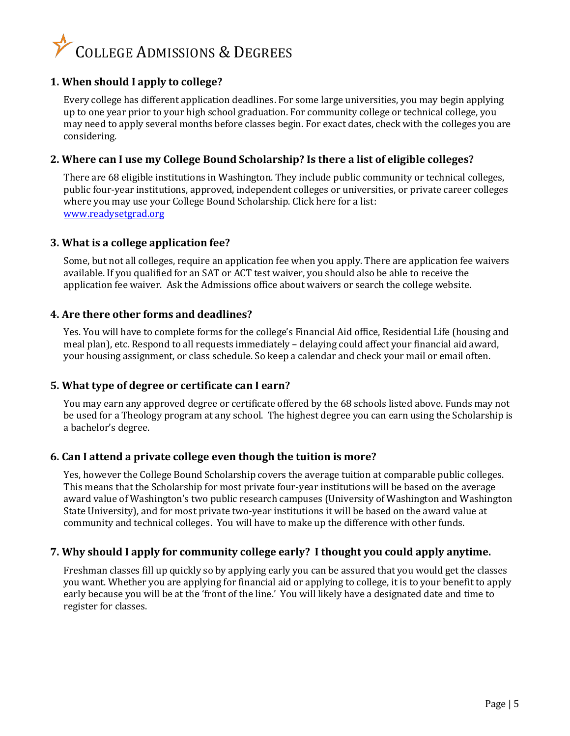## COLLEGE ADMISSIONS & DEGREES

#### <span id="page-4-0"></span>**1. When should I apply to college?**

Every college has different application deadlines. For some large universities, you may begin applying up to one year prior to your high school graduation. For community college or technical college, you may need to apply several months before classes begin. For exact dates, check with the colleges you are considering.

#### **2. Where can I use my College Bound Scholarship? Is there a list of eligible colleges?**

There are 68 eligible institutions in Washington. They include public community or technical colleges, public four-year institutions, approved, independent colleges or universities, or private career colleges where you may use your College Bound Scholarship. Click here for a list: www.readysetgrad.org

#### **3. What is a college application fee?**

Some, but not all colleges, require an application fee when you apply. There are application fee waivers available. If you qualified for an SAT or ACT test waiver, you should also be able to receive the application fee waiver. Ask the Admissions office about waivers or search the college website.

#### **4. Are there other forms and deadlines?**

Yes. You will have to complete forms for the college's Financial Aid office, Residential Life (housing and meal plan), etc. Respond to all requests immediately – delaying could affect your financial aid award, your housing assignment, or class schedule. So keep a calendar and check your mail or email often.

#### **5. What type of degree or certificate can I earn?**

You may earn any approved degree or certificate offered by the 68 schools listed above. Funds may not be used for a Theology program at any school. The highest degree you can earn using the Scholarship is a bachelor's degree.

#### **6. Can I attend a private college even though the tuition is more?**

Yes, however the College Bound Scholarship covers the average tuition at comparable public colleges. This means that the Scholarship for most private four-year institutions will be based on the average award value of Washington's two public research campuses (University of Washington and Washington State University), and for most private two-year institutions it will be based on the award value at community and technical colleges. You will have to make up the difference with other funds.

#### **7. Why should I apply for community college early? I thought you could apply anytime.**

Freshman classes fill up quickly so by applying early you can be assured that you would get the classes you want. Whether you are applying for financial aid or applying to college, it is to your benefit to apply early because you will be at the 'front of the line.' You will likely have a designated date and time to register for classes.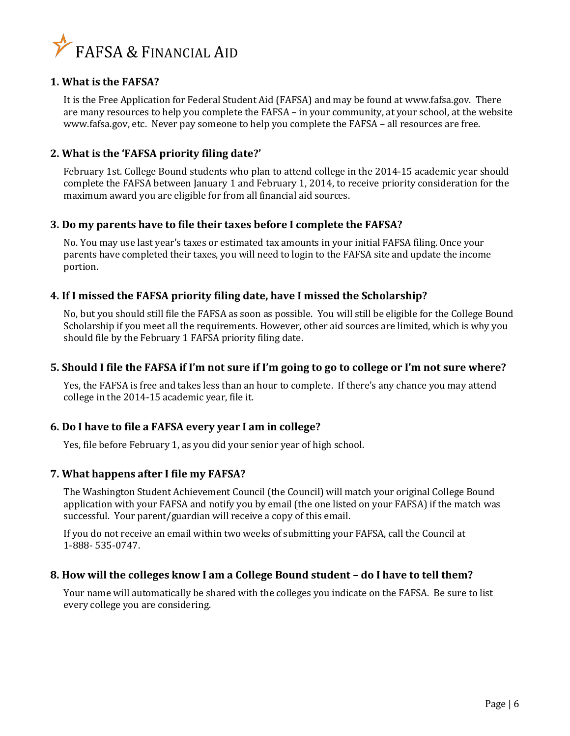

#### <span id="page-5-0"></span>**1. What is the FAFSA?**

It is the Free Application for Federal Student Aid (FAFSA) and may be found at [www.fafsa.gov.](http://www.fafsa.gov/) There are many resources to help you complete the FAFSA – in your community, at your school, at the website [www.fafsa.gov, e](http://www.fafsa.gov/)tc. Never pay someone to help you complete the FAFSA – all resources are free.

#### **2. What is the 'FAFSA priority filing date?'**

February 1st. College Bound students who plan to attend college in the 2014-15 academic year should complete the FAFSA between January 1 and February 1, 2014, to receive priority consideration for the maximum award you are eligible for from all financial aid sources.

#### **3. Do my parents have to file their taxes before I complete the FAFSA?**

No. You may use last year's taxes or estimated tax amounts in your initial FAFSA filing. Once your parents have completed their taxes, you will need to login to the FAFSA site and update the income portion.

#### **4. If I missed the FAFSA priority filing date, have I missed the Scholarship?**

No, but you should still file the FAFSA as soon as possible. You will still be eligible for the College Bound Scholarship if you meet all the requirements. However, other aid sources are limited, which is why you should file by the February 1 FAFSA priority filing date.

#### **5. Should I file the FAFSA if I'm not sure if I'm going to go to college or I'm not sure where?**

Yes, the FAFSA is free and takes less than an hour to complete. If there's any chance you may attend college in the 2014-15 academic year, file it.

#### **6. Do I have to file a FAFSA every year I am in college?**

Yes, file before February 1, as you did your senior year of high school.

#### **7. What happens after I file my FAFSA?**

The Washington Student Achievement Council (the Council) will match your original College Bound application with your FAFSA and notify you by email (the one listed on your FAFSA) if the match was successful. Your parent/guardian will receive a copy of this email.

If you do not receive an email within two weeks of submitting your FAFSA, call the Council at 1-888- 535-0747.

#### **8. How will the colleges know I am a College Bound student – do I have to tell them?**

Your name will automatically be shared with the colleges you indicate on the FAFSA. Be sure to list every college you are considering.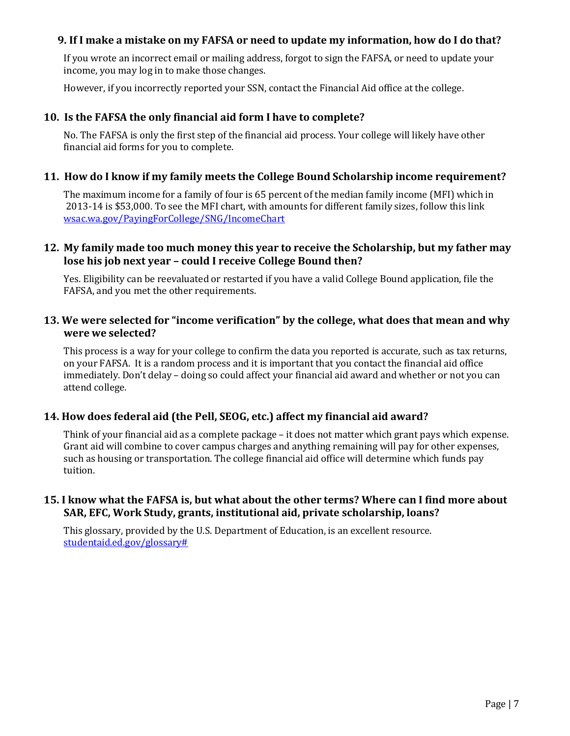#### **9. If I make a mistake on my FAFSA or need to update my information, how do I do that?**

If you wrote an incorrect email or mailing address, forgot to sign the FAFSA, or need to update your income, you may log in to make those changes.

However, if you incorrectly reported your SSN, contact the Financial Aid office at the college.

#### **10. Is the FAFSA the only financial aid form I have to complete?**

No. The FAFSA is only the first step of the financial aid process. Your college will likely have other financial aid forms for you to complete.

#### **11. How do I know if my family meets the College Bound Scholarship income requirement?**

The maximum income for a family of four is 65 percent of the median family income (MFI) which in 2013-14 is \$53,000. To see the MFI chart, with amounts for different family sizes, follow this link [wsac.wa.gov/PayingForCollege/SNG/IncomeChart](http://www.wsac.wa.gov/PayingForCollege/SNG/IncomeChart)

#### **12. My family made too much money this year to receive the Scholarship, but my father may lose his job next year – could I receive College Bound then?**

Yes. Eligibility can be reevaluated or restarted if you have a valid College Bound application, file the FAFSA, and you met the other requirements.

#### **13. We were selected for "income verification" by the college, what does that mean and why were we selected?**

This process is a way for your college to confirm the data you reported is accurate, such as tax returns, on your FAFSA. It is a random process and it is important that you contact the financial aid office immediately. Don't delay – doing so could affect your financial aid award and whether or not you can attend college.

#### **14. How does federal aid (the Pell, SEOG, etc.) affect my financial aid award?**

Think of your financial aid as a complete package – it does not matter which grant pays which expense. Grant aid will combine to cover campus charges and anything remaining will pay for other expenses, such as housing or transportation. The college financial aid office will determine which funds pay tuition.

#### **15. I know what the FAFSA is, but what about the other terms? Where can I find more about SAR, EFC, Work Study, grants, institutional aid, private scholarship, loans?**

This glossary, provided by the U.S. Department of Education, is an excellent resource. [studentaid.ed.gov/glossary#](http://studentaid.ed.gov/glossary)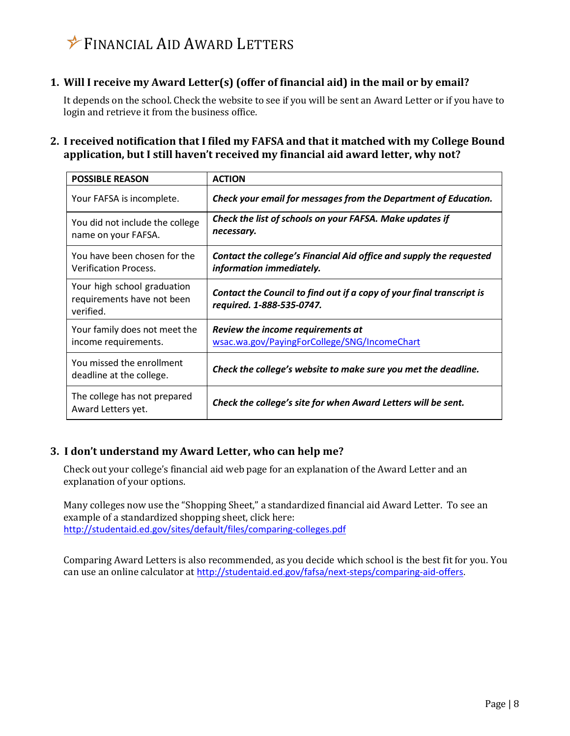### <span id="page-7-0"></span>FINANCIAL AID AWARD LETTERS

#### **1. Will I receive my Award Letter(s) (offer of financial aid) in the mail or by email?**

It depends on the school. Check the website to see if you will be sent an Award Letter or if you have to login and retrieve it from the business office.

#### **2. I received notification that I filed my FAFSA and that it matched with my College Bound application, but I still haven't received my financial aid award letter, why not?**

| <b>POSSIBLE REASON</b>                                                 | <b>ACTION</b>                                                                                      |
|------------------------------------------------------------------------|----------------------------------------------------------------------------------------------------|
| Your FAFSA is incomplete.                                              | Check your email for messages from the Department of Education.                                    |
| You did not include the college<br>name on your FAFSA.                 | Check the list of schools on your FAFSA. Make updates if<br>necessary.                             |
| You have been chosen for the<br><b>Verification Process.</b>           | Contact the college's Financial Aid office and supply the requested<br>information immediately.    |
| Your high school graduation<br>requirements have not been<br>verified. | Contact the Council to find out if a copy of your final transcript is<br>required. 1-888-535-0747. |
| Your family does not meet the<br>income requirements.                  | Review the income requirements at<br>wsac.wa.gov/PayingForCollege/SNG/IncomeChart                  |
| You missed the enrollment<br>deadline at the college.                  | Check the college's website to make sure you met the deadline.                                     |
| The college has not prepared<br>Award Letters yet.                     | Check the college's site for when Award Letters will be sent.                                      |

#### **3. I don't understand my Award Letter, who can help me?**

Check out your college's financial aid web page for an explanation of the Award Letter and an explanation of your options.

Many colleges now use the "Shopping Sheet," a standardized financial aid Award Letter. To see an example of a standardized shopping sheet, click here: <http://studentaid.ed.gov/sites/default/files/comparing-colleges.pdf>

Comparing Award Letters is also recommended, as you decide which school is the best fit for you. You can use an online calculator at [http://studentaid.ed.gov/fafsa/next-steps/comparing-aid-offers.](http://studentaid.ed.gov/fafsa/next-steps/comparing-aid-offers)